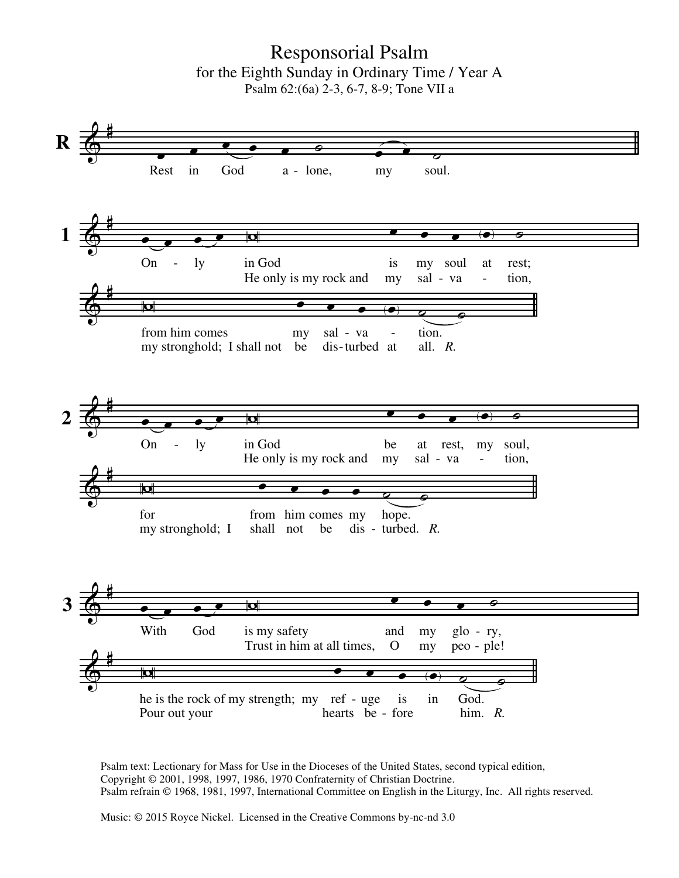Responsorial Psalm for the Eighth Sunday in Ordinary Time / Year A Psalm 62:(6a) 2-3, 6-7, 8-9; Tone VII a



Psalm text: Lectionary for Mass for Use in the Dioceses of the United States, second typical edition, Copyright © 2001, 1998, 1997, 1986, 1970 Confraternity of Christian Doctrine. Psalm refrain © 1968, 1981, 1997, International Committee on English in the Liturgy, Inc. All rights reserved.

Music: © 2015 Royce Nickel. Licensed in the Creative Commons by-nc-nd 3.0